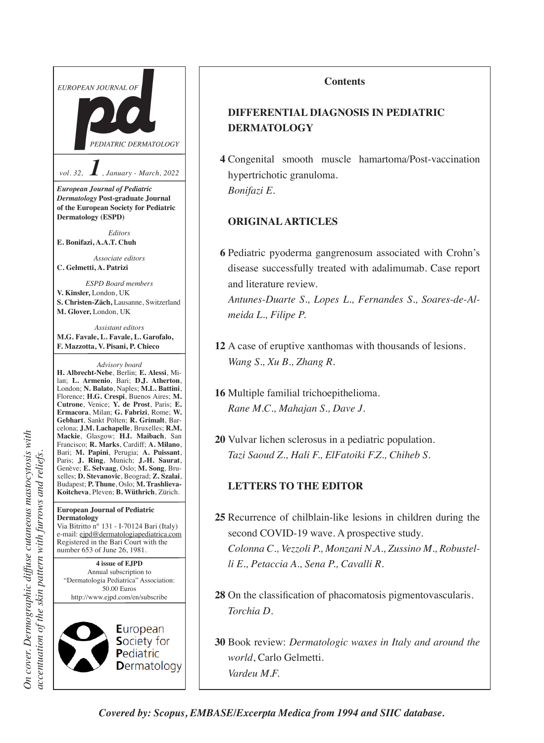

#### **Contents**

# **DIFFERENTIAL DIAGNOSIS IN PEDIATRIC DERMATOLOGY**

**4** Congenital smooth muscle hamartoma/Post-vaccination hypertrichotic granuloma. *Bonifazi E.*

#### **ORIGINAL ARTICLES**

**6** Pediatric pyoderma gangrenosum associated with Crohn's disease successfully treated with adalimumab. Case report and literature review.

 *Antunes-Duarte S., Lopes L., Fernandes S., Soares-de-Almeida L., Filipe P.*

- **12** A case of eruptive xanthomas with thousands of lesions. *Wang S., Xu B., Zhang R.*
- **16** Multiple familial trichoepithelioma. *Rane M.C., Mahajan S., Dave J.*
- **20** Vulvar lichen sclerosus in a pediatric population. *Tazi Saoud Z., Hali F., ElFatoiki F.Z., Chiheb S.*

### **LETTERS TO THE EDITOR**

- **25** Recurrence of chilblain-like lesions in children during the second COVID-19 wave. A prospective study. *Colonna C., Vezzoli P., Monzani N.A., Zussino M., Robustelli E., Petaccia A., Sena P., Cavalli R.*
- 28 On the classification of phacomatosis pigmentovascularis. *Torchia D.*

**30** Book review: *Dermatologic waxes in Italy and around the world*, Carlo Gelmetti. *Vardeu M.F.*

*On cover. Dermographic diffuse cutaneous mastocytosis with*  On cover. Dermographic diffuse cutaneous mastocytosis with accentuation of the skin pattern with furrows and reliefs. *accentuation of the skin pattern with furrows and reliefs.*